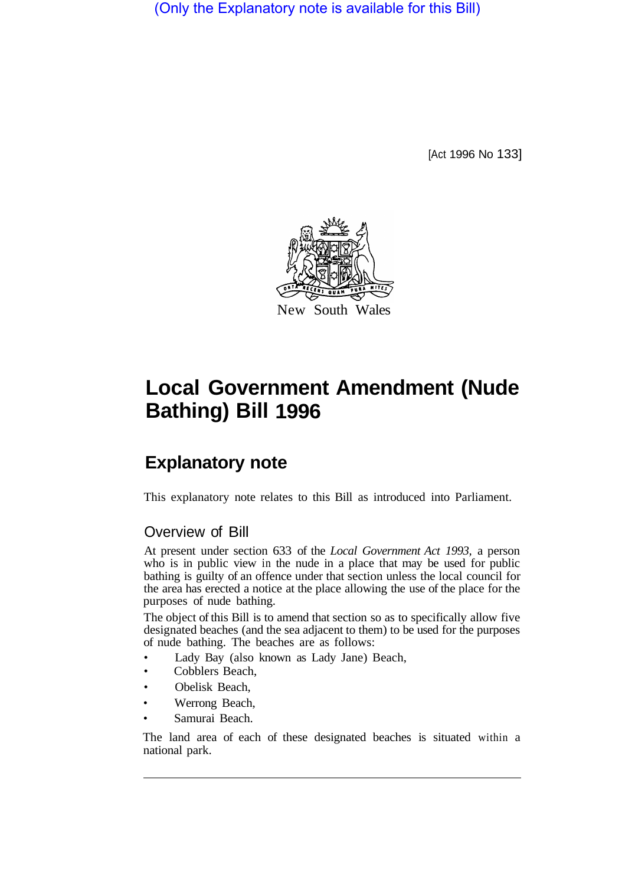(Only the Explanatory note is available for this Bill)

[Act 1996 No 133]



## **Local Government Amendment (Nude Bathing) Bill 1996**

## **Explanatory note**

This explanatory note relates to this Bill as introduced into Parliament.

## Overview of Bill

At present under section 633 of the *Local Government Act 1993,* a person who is in public view in the nude in a place that may be used for public bathing is guilty of an offence under that section unless the local council for the area has erected a notice at the place allowing the use of the place for the purposes of nude bathing.

The object of this Bill is to amend that section so as to specifically allow five designated beaches (and the sea adjacent to them) to be used for the purposes of nude bathing. The beaches are as follows:

- Lady Bay (also known as Lady Jane) Beach,
- Cobblers Beach,
- Obelisk Beach,
- Werrong Beach,
- Samurai Beach.

The land area of each of these designated beaches is situated within a national park.